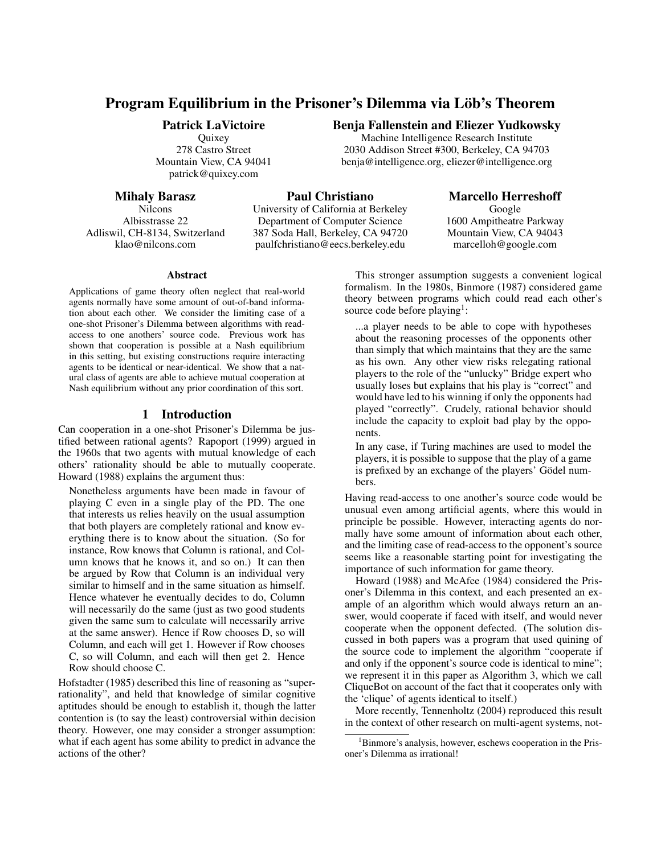# Program Equilibrium in the Prisoner's Dilemma via Löb's Theorem

# Patrick LaVictoire

**Quixey** 278 Castro Street Mountain View, CA 94041 patrick@quixey.com

Mihaly Barasz

Nilcons Albisstrasse 22 Adliswil, CH-8134, Switzerland klao@nilcons.com

## Paul Christiano

University of California at Berkeley Department of Computer Science 387 Soda Hall, Berkeley, CA 94720 paulfchristiano@eecs.berkeley.edu

# Benja Fallenstein and Eliezer Yudkowsky

Machine Intelligence Research Institute 2030 Addison Street #300, Berkeley, CA 94703 benja@intelligence.org, eliezer@intelligence.org

#### Marcello Herreshoff

Google 1600 Ampitheatre Parkway Mountain View, CA 94043 marcelloh@google.com

Abstract

Applications of game theory often neglect that real-world agents normally have some amount of out-of-band information about each other. We consider the limiting case of a one-shot Prisoner's Dilemma between algorithms with readaccess to one anothers' source code. Previous work has shown that cooperation is possible at a Nash equilibrium in this setting, but existing constructions require interacting agents to be identical or near-identical. We show that a natural class of agents are able to achieve mutual cooperation at Nash equilibrium without any prior coordination of this sort.

#### 1 Introduction

Can cooperation in a one-shot Prisoner's Dilemma be justified between rational agents? Rapoport (1999) argued in the 1960s that two agents with mutual knowledge of each others' rationality should be able to mutually cooperate. Howard (1988) explains the argument thus:

Nonetheless arguments have been made in favour of playing C even in a single play of the PD. The one that interests us relies heavily on the usual assumption that both players are completely rational and know everything there is to know about the situation. (So for instance, Row knows that Column is rational, and Column knows that he knows it, and so on.) It can then be argued by Row that Column is an individual very similar to himself and in the same situation as himself. Hence whatever he eventually decides to do, Column will necessarily do the same (just as two good students given the same sum to calculate will necessarily arrive at the same answer). Hence if Row chooses D, so will Column, and each will get 1. However if Row chooses C, so will Column, and each will then get 2. Hence Row should choose C.

Hofstadter (1985) described this line of reasoning as "superrationality", and held that knowledge of similar cognitive aptitudes should be enough to establish it, though the latter contention is (to say the least) controversial within decision theory. However, one may consider a stronger assumption: what if each agent has some ability to predict in advance the actions of the other?

This stronger assumption suggests a convenient logical formalism. In the 1980s, Binmore (1987) considered game theory between programs which could read each other's

source code before playing<sup>1</sup>:

...a player needs to be able to cope with hypotheses about the reasoning processes of the opponents other than simply that which maintains that they are the same as his own. Any other view risks relegating rational players to the role of the "unlucky" Bridge expert who usually loses but explains that his play is "correct" and would have led to his winning if only the opponents had played "correctly". Crudely, rational behavior should include the capacity to exploit bad play by the opponents.

In any case, if Turing machines are used to model the players, it is possible to suppose that the play of a game is prefixed by an exchange of the players' Gödel numbers.

Having read-access to one another's source code would be unusual even among artificial agents, where this would in principle be possible. However, interacting agents do normally have some amount of information about each other, and the limiting case of read-access to the opponent's source seems like a reasonable starting point for investigating the importance of such information for game theory.

Howard (1988) and McAfee (1984) considered the Prisoner's Dilemma in this context, and each presented an example of an algorithm which would always return an answer, would cooperate if faced with itself, and would never cooperate when the opponent defected. (The solution discussed in both papers was a program that used quining of the source code to implement the algorithm "cooperate if and only if the opponent's source code is identical to mine"; we represent it in this paper as Algorithm 3, which we call CliqueBot on account of the fact that it cooperates only with the 'clique' of agents identical to itself.)

More recently, Tennenholtz (2004) reproduced this result in the context of other research on multi-agent systems, not-

<sup>&</sup>lt;sup>1</sup>Binmore's analysis, however, eschews cooperation in the Prisoner's Dilemma as irrational!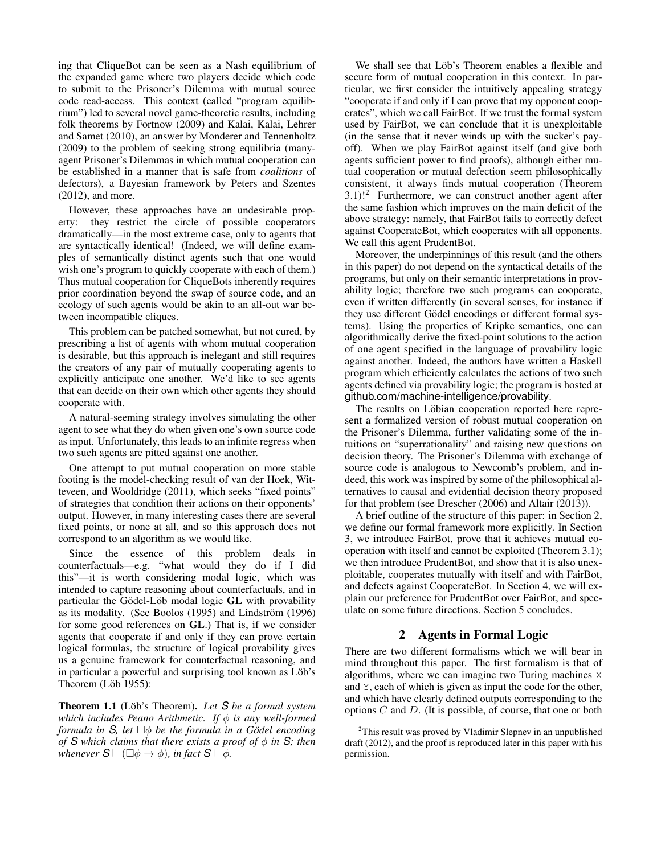ing that CliqueBot can be seen as a Nash equilibrium of the expanded game where two players decide which code to submit to the Prisoner's Dilemma with mutual source code read-access. This context (called "program equilibrium") led to several novel game-theoretic results, including folk theorems by Fortnow (2009) and Kalai, Kalai, Lehrer and Samet (2010), an answer by Monderer and Tennenholtz (2009) to the problem of seeking strong equilibria (manyagent Prisoner's Dilemmas in which mutual cooperation can be established in a manner that is safe from *coalitions* of defectors), a Bayesian framework by Peters and Szentes (2012), and more.

However, these approaches have an undesirable property: they restrict the circle of possible cooperators dramatically—in the most extreme case, only to agents that are syntactically identical! (Indeed, we will define examples of semantically distinct agents such that one would wish one's program to quickly cooperate with each of them.) Thus mutual cooperation for CliqueBots inherently requires prior coordination beyond the swap of source code, and an ecology of such agents would be akin to an all-out war between incompatible cliques.

This problem can be patched somewhat, but not cured, by prescribing a list of agents with whom mutual cooperation is desirable, but this approach is inelegant and still requires the creators of any pair of mutually cooperating agents to explicitly anticipate one another. We'd like to see agents that can decide on their own which other agents they should cooperate with.

A natural-seeming strategy involves simulating the other agent to see what they do when given one's own source code as input. Unfortunately, this leads to an infinite regress when two such agents are pitted against one another.

One attempt to put mutual cooperation on more stable footing is the model-checking result of van der Hoek, Witteveen, and Wooldridge (2011), which seeks "fixed points" of strategies that condition their actions on their opponents' output. However, in many interesting cases there are several fixed points, or none at all, and so this approach does not correspond to an algorithm as we would like.

Since the essence of this problem deals in counterfactuals—e.g. "what would they do if I did this"—it is worth considering modal logic, which was intended to capture reasoning about counterfactuals, and in particular the Gödel-Löb modal logic GL with provability as its modality. (See Boolos (1995) and Lindström (1996) for some good references on GL.) That is, if we consider agents that cooperate if and only if they can prove certain logical formulas, the structure of logical provability gives us a genuine framework for counterfactual reasoning, and in particular a powerful and surprising tool known as Löb's Theorem (Löb 1955):

Theorem 1.1 (Löb's Theorem). Let S be a formal system *which includes Peano Arithmetic. If* φ *is any well-formed formula in S, let*  $\Box \phi$  *be the formula in a Gödel encoding of S* which claims that there exists a proof of  $\phi$  in *S*; then *whenever*  $S \vdash (\Box \phi \rightarrow \phi)$ *, in fact*  $S \vdash \phi$ *.* 

We shall see that Löb's Theorem enables a flexible and secure form of mutual cooperation in this context. In particular, we first consider the intuitively appealing strategy "cooperate if and only if I can prove that my opponent cooperates", which we call FairBot. If we trust the formal system used by FairBot, we can conclude that it is unexploitable (in the sense that it never winds up with the sucker's payoff). When we play FairBot against itself (and give both agents sufficient power to find proofs), although either mutual cooperation or mutual defection seem philosophically consistent, it always finds mutual cooperation (Theorem  $3.1$ )!<sup>2</sup> Furthermore, we can construct another agent after the same fashion which improves on the main deficit of the above strategy: namely, that FairBot fails to correctly defect against CooperateBot, which cooperates with all opponents. We call this agent PrudentBot.

Moreover, the underpinnings of this result (and the others in this paper) do not depend on the syntactical details of the programs, but only on their semantic interpretations in provability logic; therefore two such programs can cooperate, even if written differently (in several senses, for instance if they use different Gödel encodings or different formal systems). Using the properties of Kripke semantics, one can algorithmically derive the fixed-point solutions to the action of one agent specified in the language of provability logic against another. Indeed, the authors have written a Haskell program which efficiently calculates the actions of two such agents defined via provability logic; the program is hosted at github.com/machine-intelligence/provability.

The results on Löbian cooperation reported here represent a formalized version of robust mutual cooperation on the Prisoner's Dilemma, further validating some of the intuitions on "superrationality" and raising new questions on decision theory. The Prisoner's Dilemma with exchange of source code is analogous to Newcomb's problem, and indeed, this work was inspired by some of the philosophical alternatives to causal and evidential decision theory proposed for that problem (see Drescher (2006) and Altair (2013)).

A brief outline of the structure of this paper: in Section 2, we define our formal framework more explicitly. In Section 3, we introduce FairBot, prove that it achieves mutual cooperation with itself and cannot be exploited (Theorem 3.1); we then introduce PrudentBot, and show that it is also unexploitable, cooperates mutually with itself and with FairBot, and defects against CooperateBot. In Section 4, we will explain our preference for PrudentBot over FairBot, and speculate on some future directions. Section 5 concludes.

## 2 Agents in Formal Logic

There are two different formalisms which we will bear in mind throughout this paper. The first formalism is that of algorithms, where we can imagine two Turing machines X and Y, each of which is given as input the code for the other, and which have clearly defined outputs corresponding to the options  $C$  and  $D$ . (It is possible, of course, that one or both

 $2$ This result was proved by Vladimir Slepnev in an unpublished draft (2012), and the proof is reproduced later in this paper with his permission.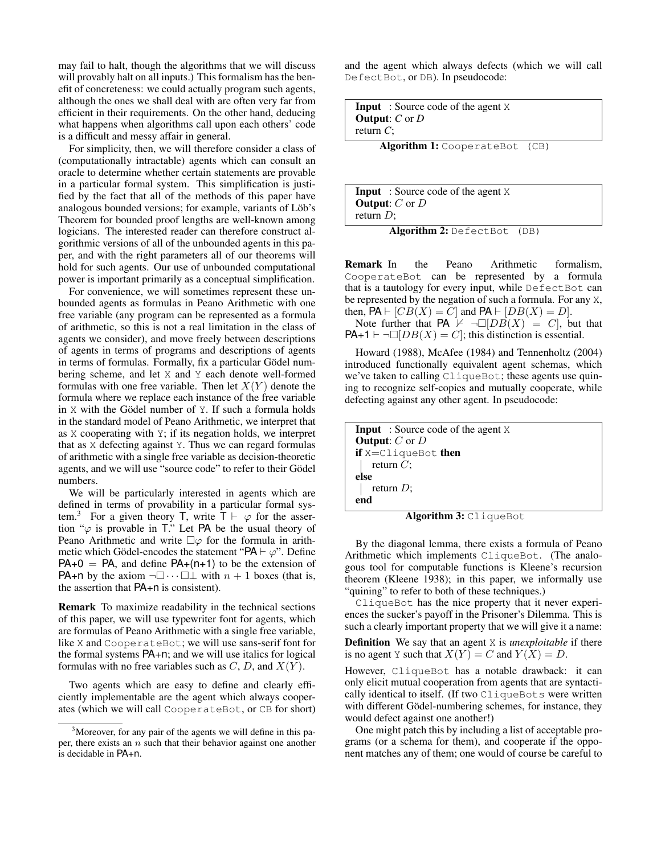may fail to halt, though the algorithms that we will discuss will provably halt on all inputs.) This formalism has the benefit of concreteness: we could actually program such agents, although the ones we shall deal with are often very far from efficient in their requirements. On the other hand, deducing what happens when algorithms call upon each others' code is a difficult and messy affair in general.

For simplicity, then, we will therefore consider a class of (computationally intractable) agents which can consult an oracle to determine whether certain statements are provable in a particular formal system. This simplification is justified by the fact that all of the methods of this paper have analogous bounded versions; for example, variants of Löb's Theorem for bounded proof lengths are well-known among logicians. The interested reader can therefore construct algorithmic versions of all of the unbounded agents in this paper, and with the right parameters all of our theorems will hold for such agents. Our use of unbounded computational power is important primarily as a conceptual simplification.

For convenience, we will sometimes represent these unbounded agents as formulas in Peano Arithmetic with one free variable (any program can be represented as a formula of arithmetic, so this is not a real limitation in the class of agents we consider), and move freely between descriptions of agents in terms of programs and descriptions of agents in terms of formulas. Formally, fix a particular Gödel numbering scheme, and let X and Y each denote well-formed formulas with one free variable. Then let  $X(Y)$  denote the formula where we replace each instance of the free variable in  $X$  with the Gödel number of  $Y$ . If such a formula holds in the standard model of Peano Arithmetic, we interpret that as X cooperating with Y; if its negation holds, we interpret that as X defecting against Y. Thus we can regard formulas of arithmetic with a single free variable as decision-theoretic agents, and we will use "source code" to refer to their Gödel numbers.

We will be particularly interested in agents which are defined in terms of provability in a particular formal system.<sup>3</sup> For a given theory T, write  $T \vdash \varphi$  for the assertion " $\varphi$  is provable in T." Let PA be the usual theory of Peano Arithmetic and write  $\square \varphi$  for the formula in arithmetic which Gödel-encodes the statement " $PA \vdash \varphi$ ". Define  $PA+0 = PA$ , and define  $PA+(n+1)$  to be the extension of PA+n by the axiom  $\neg \Box \cdots \Box \bot$  with  $n + 1$  boxes (that is, the assertion that PA+n is consistent).

Remark To maximize readability in the technical sections of this paper, we will use typewriter font for agents, which are formulas of Peano Arithmetic with a single free variable, like X and CooperateBot; we will use sans-serif font for the formal systems PA+n; and we will use italics for logical formulas with no free variables such as  $C, D$ , and  $X(Y)$ .

Two agents which are easy to define and clearly efficiently implementable are the agent which always cooperates (which we will call CooperateBot, or CB for short)

and the agent which always defects (which we will call DefectBot, or DB). In pseudocode:

Input : Source code of the agent X Output: *C* or *D* return *C*;

Algorithm 1: CooperateBot (CB)

Input : Source code of the agent X **Output:**  $C$  or  $D$ return  $D$ ;

Algorithm 2: DefectBot (DB)

Remark In the Peano Arithmetic formalism, CooperateBot can be represented by a formula that is a tautology for every input, while DefectBot can be represented by the negation of such a formula. For any X, then,  $PA \vdash [CB(X) = C]$  and  $PA \vdash [DB(X) = D]$ .

Note further that PA  $\nvdash \neg \Box [DB(X)] = C$ , but that  $PA+1 \vdash \neg \Box [DB(X) = C]$ ; this distinction is essential.

Howard (1988), McAfee (1984) and Tennenholtz (2004) introduced functionally equivalent agent schemas, which we've taken to calling CliqueBot; these agents use quining to recognize self-copies and mutually cooperate, while defecting against any other agent. In pseudocode:

| <b>Input</b> : Source code of the agent X |
|-------------------------------------------|
| <b>Output:</b> $C$ or $D$                 |
| if $X = C1$ ique Bot then                 |
| $\vert$ return C;                         |
| else                                      |
| return $D$ ;                              |
| end                                       |

Algorithm 3: CliqueBot

By the diagonal lemma, there exists a formula of Peano Arithmetic which implements CliqueBot. (The analogous tool for computable functions is Kleene's recursion theorem (Kleene 1938); in this paper, we informally use "quining" to refer to both of these techniques.)

CliqueBot has the nice property that it never experiences the sucker's payoff in the Prisoner's Dilemma. This is such a clearly important property that we will give it a name:

Definition We say that an agent X is *unexploitable* if there is no agent Y such that  $X(Y) = C$  and  $Y(X) = D$ .

However, CliqueBot has a notable drawback: it can only elicit mutual cooperation from agents that are syntactically identical to itself. (If two CliqueBots were written with different Gödel-numbering schemes, for instance, they would defect against one another!)

One might patch this by including a list of acceptable programs (or a schema for them), and cooperate if the opponent matches any of them; one would of course be careful to

<sup>&</sup>lt;sup>3</sup>Moreover, for any pair of the agents we will define in this paper, there exists an  $n$  such that their behavior against one another is decidable in PA+n.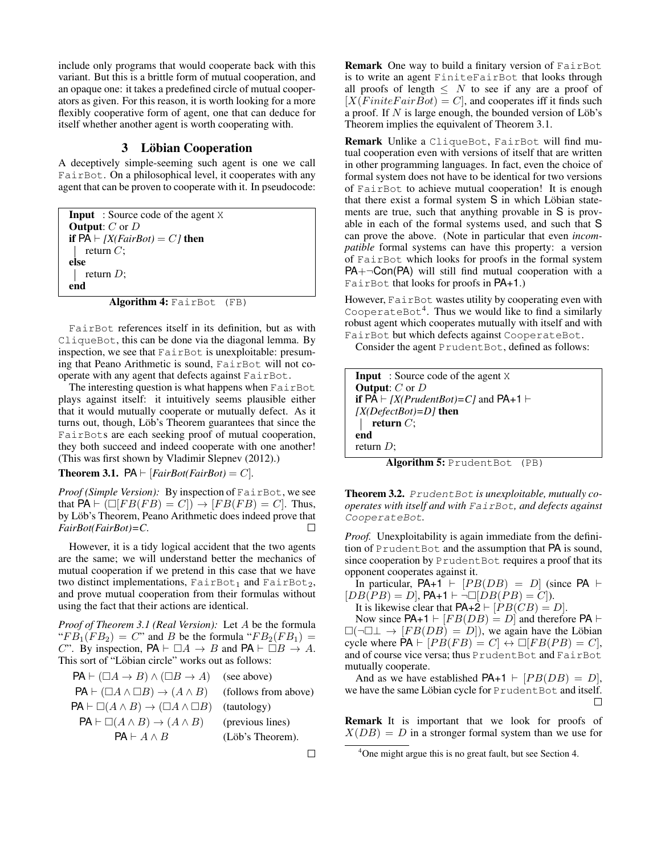include only programs that would cooperate back with this variant. But this is a brittle form of mutual cooperation, and an opaque one: it takes a predefined circle of mutual cooperators as given. For this reason, it is worth looking for a more flexibly cooperative form of agent, one that can deduce for itself whether another agent is worth cooperating with.

#### 3 Löbian Cooperation

A deceptively simple-seeming such agent is one we call FairBot. On a philosophical level, it cooperates with any agent that can be proven to cooperate with it. In pseudocode:

Input : Source code of the agent X **Output:**  $C$  or  $D$ if  $PA \vdash /X(FairBot) = C/I$  then  $\vert$  return *C*; else return  $D$ ; end

Algorithm 4: FairBot (FB)

FairBot references itself in its definition, but as with CliqueBot, this can be done via the diagonal lemma. By inspection, we see that FairBot is unexploitable: presuming that Peano Arithmetic is sound, FairBot will not cooperate with any agent that defects against FairBot.

The interesting question is what happens when FairBot plays against itself: it intuitively seems plausible either that it would mutually cooperate or mutually defect. As it turns out, though, Löb's Theorem guarantees that since the FairBots are each seeking proof of mutual cooperation, they both succeed and indeed cooperate with one another! (This was first shown by Vladimir Slepnev (2012).)

**Theorem 3.1.**  $PA \vdash [FairBot(FairBot) = C].$ 

*Proof (Simple Version):* By inspection of FairBot, we see that  $\overline{PA} \vdash \overline{(\Box [FB(FB) = C])} \rightarrow [FB(FB) = C]$ . Thus, by Löb's Theorem, Peano Arithmetic does indeed prove that *FairBot(FairBot)=C*. П

However, it is a tidy logical accident that the two agents are the same; we will understand better the mechanics of mutual cooperation if we pretend in this case that we have two distinct implementations,  $FairBot<sub>1</sub>$  and  $FairBot<sub>2</sub>$ , and prove mutual cooperation from their formulas without using the fact that their actions are identical.

*Proof of Theorem 3.1 (Real Version):* Let A be the formula " $FB_1(FB_2) = C$ " and B be the formula " $FB_2(FB_1) =$ C". By inspection,  $PA \vdash \Box A \rightarrow B$  and  $PA \vdash \Box B \rightarrow A$ . This sort of "Löbian circle" works out as follows:

| $PA \vdash (\Box A \rightarrow B) \land (\Box B \rightarrow A)$ | (see above)          |
|-----------------------------------------------------------------|----------------------|
| $PA \vdash (\Box A \land \Box B) \rightarrow (A \land B)$       | (follows from above) |
| $PA \vdash \Box(A \land B) \rightarrow (\Box A \land \Box B)$   | (tautology)          |
| $PA \vdash \Box(A \land B) \rightarrow (A \land B)$             | (previous lines)     |
| $PA \vdash A \land B$                                           | (Löb's Theorem).     |

 $\Box$ 

Remark One way to build a finitary version of FairBot is to write an agent FiniteFairBot that looks through all proofs of length  $\leq N$  to see if any are a proof of  $[X(Finite FairBot) = C]$ , and cooperates iff it finds such a proof. If  $N$  is large enough, the bounded version of Löb's Theorem implies the equivalent of Theorem 3.1.

Remark Unlike a CliqueBot, FairBot will find mutual cooperation even with versions of itself that are written in other programming languages. In fact, even the choice of formal system does not have to be identical for two versions of FairBot to achieve mutual cooperation! It is enough that there exist a formal system S in which Löbian statements are true, such that anything provable in S is provable in each of the formal systems used, and such that S can prove the above. (Note in particular that even *incompatible* formal systems can have this property: a version of FairBot which looks for proofs in the formal system  $PA+\neg Con(PA)$  will still find mutual cooperation with a FairBot that looks for proofs in PA+1.)

However, FairBot wastes utility by cooperating even with CooperateBot<sup>4</sup>. Thus we would like to find a similarly robust agent which cooperates mutually with itself and with FairBot but which defects against CooperateBot.

Consider the agent PrudentBot, defined as follows:

| <b>Input</b> : Source code of the agent $X$               |
|-----------------------------------------------------------|
| <b>Output:</b> $C$ or $D$                                 |
| <b>if</b> PA $\vdash$ [X(PrudentBot)=C] and PA+1 $\vdash$ |
| $[X(DefectBot)=D]$ then                                   |
| return $C$ ;                                              |
| end                                                       |
| return $D$ ;                                              |

Algorithm 5: PrudentBot (PB)

Theorem 3.2. PrudentBot *is unexploitable, mutually cooperates with itself and with* FairBot*, and defects against* CooperateBot*.*

*Proof.* Unexploitability is again immediate from the definition of PrudentBot and the assumption that PA is sound, since cooperation by PrudentBot requires a proof that its opponent cooperates against it.

In particular,  $PA+1$   $\vdash$   $[PB(DB) = D]$  (since  $PA +$  $[DB(PB) = D]$ ,  $PA + 1 \vdash \neg \Box [DB(PB) = C]$ .

It is likewise clear that  $PA+2 \vdash [PB(CB) = D]$ .

Now since  $PA+1 \vdash [FB(DB) = D]$  and therefore  $PA \vdash$  $\square(\neg \square \bot \rightarrow [FB(DB] = D]),$  we again have the Löbian cycle where  $\overrightarrow{PA} \vdash [PB(FB) = C] \leftrightarrow \Box [FB(PB) = C],$ and of course vice versa; thus PrudentBot and FairBot mutually cooperate.

And as we have established  $PA+1 \vdash [PB(DB) = D$ , we have the same Löbian cycle for PrudentBot and itself.  $\Box$ 

Remark It is important that we look for proofs of  $X(DB) = D$  in a stronger formal system than we use for

<sup>&</sup>lt;sup>4</sup>One might argue this is no great fault, but see Section 4.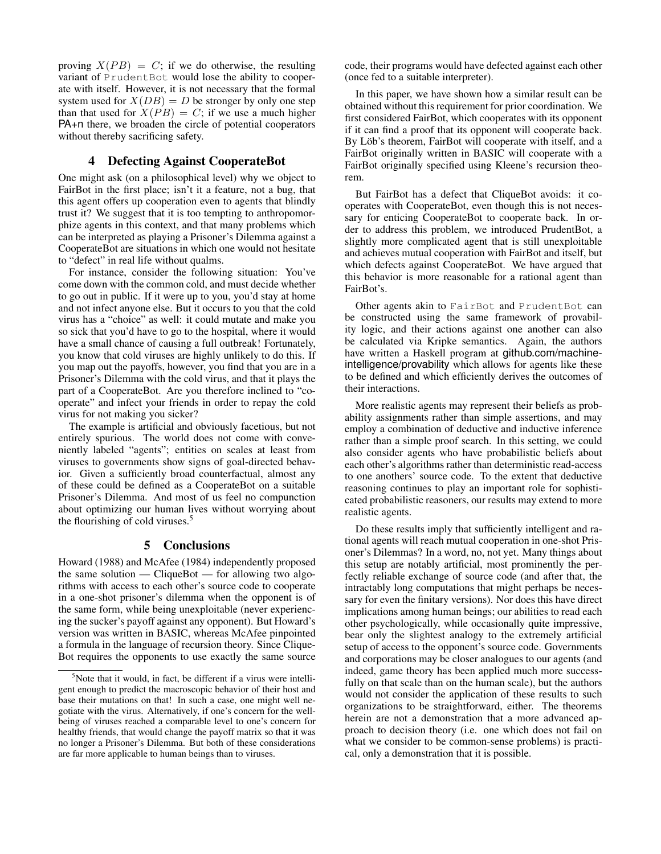proving  $X(PB) = C$ ; if we do otherwise, the resulting variant of PrudentBot would lose the ability to cooperate with itself. However, it is not necessary that the formal system used for  $X(DB) = D$  be stronger by only one step than that used for  $X(PB) = C$ ; if we use a much higher PA+n there, we broaden the circle of potential cooperators without thereby sacrificing safety.

#### 4 Defecting Against CooperateBot

One might ask (on a philosophical level) why we object to FairBot in the first place; isn't it a feature, not a bug, that this agent offers up cooperation even to agents that blindly trust it? We suggest that it is too tempting to anthropomorphize agents in this context, and that many problems which can be interpreted as playing a Prisoner's Dilemma against a CooperateBot are situations in which one would not hesitate to "defect" in real life without qualms.

For instance, consider the following situation: You've come down with the common cold, and must decide whether to go out in public. If it were up to you, you'd stay at home and not infect anyone else. But it occurs to you that the cold virus has a "choice" as well: it could mutate and make you so sick that you'd have to go to the hospital, where it would have a small chance of causing a full outbreak! Fortunately, you know that cold viruses are highly unlikely to do this. If you map out the payoffs, however, you find that you are in a Prisoner's Dilemma with the cold virus, and that it plays the part of a CooperateBot. Are you therefore inclined to "cooperate" and infect your friends in order to repay the cold virus for not making you sicker?

The example is artificial and obviously facetious, but not entirely spurious. The world does not come with conveniently labeled "agents"; entities on scales at least from viruses to governments show signs of goal-directed behavior. Given a sufficiently broad counterfactual, almost any of these could be defined as a CooperateBot on a suitable Prisoner's Dilemma. And most of us feel no compunction about optimizing our human lives without worrying about the flourishing of cold viruses.<sup>5</sup>

#### 5 Conclusions

Howard (1988) and McAfee (1984) independently proposed the same solution — CliqueBot — for allowing two algorithms with access to each other's source code to cooperate in a one-shot prisoner's dilemma when the opponent is of the same form, while being unexploitable (never experiencing the sucker's payoff against any opponent). But Howard's version was written in BASIC, whereas McAfee pinpointed a formula in the language of recursion theory. Since Clique-Bot requires the opponents to use exactly the same source code, their programs would have defected against each other (once fed to a suitable interpreter).

In this paper, we have shown how a similar result can be obtained without this requirement for prior coordination. We first considered FairBot, which cooperates with its opponent if it can find a proof that its opponent will cooperate back. By Löb's theorem, FairBot will cooperate with itself, and a FairBot originally written in BASIC will cooperate with a FairBot originally specified using Kleene's recursion theorem.

But FairBot has a defect that CliqueBot avoids: it cooperates with CooperateBot, even though this is not necessary for enticing CooperateBot to cooperate back. In order to address this problem, we introduced PrudentBot, a slightly more complicated agent that is still unexploitable and achieves mutual cooperation with FairBot and itself, but which defects against CooperateBot. We have argued that this behavior is more reasonable for a rational agent than FairBot's.

Other agents akin to FairBot and PrudentBot can be constructed using the same framework of provability logic, and their actions against one another can also be calculated via Kripke semantics. Again, the authors have written a Haskell program at github.com/machineintelligence/provability which allows for agents like these to be defined and which efficiently derives the outcomes of their interactions.

More realistic agents may represent their beliefs as probability assignments rather than simple assertions, and may employ a combination of deductive and inductive inference rather than a simple proof search. In this setting, we could also consider agents who have probabilistic beliefs about each other's algorithms rather than deterministic read-access to one anothers' source code. To the extent that deductive reasoning continues to play an important role for sophisticated probabilistic reasoners, our results may extend to more realistic agents.

Do these results imply that sufficiently intelligent and rational agents will reach mutual cooperation in one-shot Prisoner's Dilemmas? In a word, no, not yet. Many things about this setup are notably artificial, most prominently the perfectly reliable exchange of source code (and after that, the intractably long computations that might perhaps be necessary for even the finitary versions). Nor does this have direct implications among human beings; our abilities to read each other psychologically, while occasionally quite impressive, bear only the slightest analogy to the extremely artificial setup of access to the opponent's source code. Governments and corporations may be closer analogues to our agents (and indeed, game theory has been applied much more successfully on that scale than on the human scale), but the authors would not consider the application of these results to such organizations to be straightforward, either. The theorems herein are not a demonstration that a more advanced approach to decision theory (i.e. one which does not fail on what we consider to be common-sense problems) is practical, only a demonstration that it is possible.

 $5$ Note that it would, in fact, be different if a virus were intelligent enough to predict the macroscopic behavior of their host and base their mutations on that! In such a case, one might well negotiate with the virus. Alternatively, if one's concern for the wellbeing of viruses reached a comparable level to one's concern for healthy friends, that would change the payoff matrix so that it was no longer a Prisoner's Dilemma. But both of these considerations are far more applicable to human beings than to viruses.